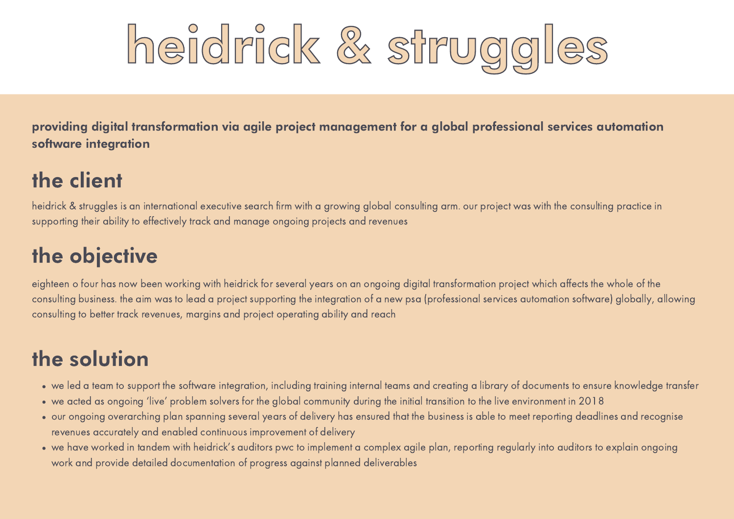

providing digital transformation via agile project management for a global professional services automation software integration

### the client

heidrick & struggles is an international executive search firm with a growing global consulting arm. our project was with the consulting practice in supporting their ability to effectively track and manage ongoing projects and revenues

# the objective

eighteen o four has now been working with heidrick for several years on an ongoing digital transformation project which affects the whole of the consulting business. the aim was to lead a project supporting the integration of a new psa (professional services automation software) globally, allowing consulting to better track revenues, margins and project operating ability and reach

# the solution

- we led a team to support the software integration, including training internal teams and creating a library of documents to ensure knowledge transfer<br>we acted as ongoing 'live' problem solvers for the global community duri
- 
- our ongoing overarching plan spanning several years of delivery has ensured that the business is able to meet reporting deadlines and recognise revenues accurately and enabled continuous improvement of delivery
- we have worked in tandem with heidrick's auditors pwc to implement <sup>a</sup> complex agile plan, reporting regularly into auditors to explain ongoing work and provide detailed documentation of progress against planned deliverables